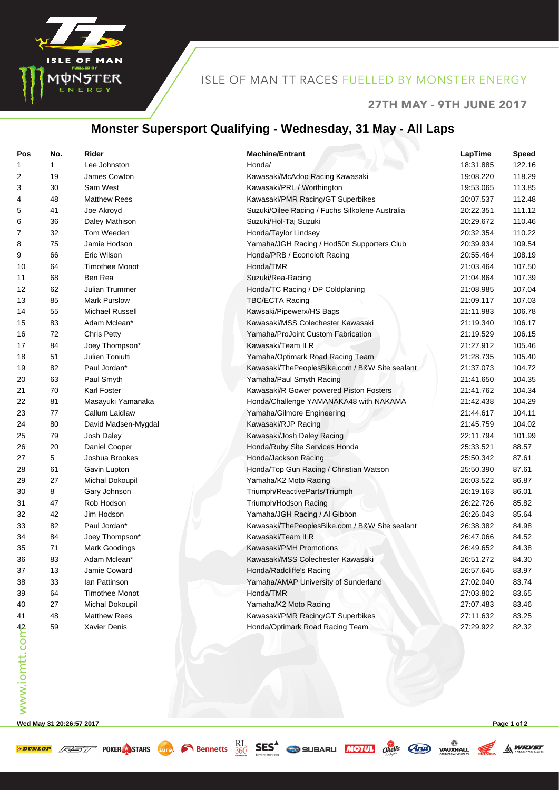

## ISLE OF MAN TT RACES FUELLED BY MONSTER ENERGY

#### 27TH MAY - 9TH JUNE 2017

#### **Monster Supersport Qualifying - Wednesday, 31 May - All Laps**

| Pos            | No. | Rider                 | <b>Machine/Entrant</b>                          | LapTime   | <b>Speed</b> |
|----------------|-----|-----------------------|-------------------------------------------------|-----------|--------------|
| 1              | 1   | Lee Johnston          | Honda/                                          | 18:31.885 | 122.16       |
| $\overline{c}$ | 19  | James Cowton          | Kawasaki/McAdoo Racing Kawasaki                 | 19:08.220 | 118.29       |
| 3              | 30  | Sam West              | Kawasaki/PRL / Worthington                      | 19:53.065 | 113.85       |
| 4              | 48  | <b>Matthew Rees</b>   | Kawasaki/PMR Racing/GT Superbikes               | 20:07.537 | 112.48       |
| 5              | 41  | Joe Akroyd            | Suzuki/Oilee Racing / Fuchs Silkolene Australia | 20:22.351 | 111.12       |
| 6              | 36  | Daley Mathison        | Suzuki/Hol-Taj Suzuki                           | 20:29.672 | 110.46       |
| 7              | 32  | Tom Weeden            | Honda/Taylor Lindsey                            | 20:32.354 | 110.22       |
| 8              | 75  | Jamie Hodson          | Yamaha/JGH Racing / Hod50n Supporters Club      | 20:39.934 | 109.54       |
| 9              | 66  | Eric Wilson           | Honda/PRB / Econoloft Racing                    | 20:55.464 | 108.19       |
| 10             | 64  | <b>Timothee Monot</b> | Honda/TMR                                       | 21:03.464 | 107.50       |
| 11             | 68  | Ben Rea               | Suzuki/Rea-Racing                               | 21:04.864 | 107.39       |
| 12             | 62  | Julian Trummer        | Honda/TC Racing / DP Coldplaning                | 21:08.985 | 107.04       |
| 13             | 85  | <b>Mark Purslow</b>   | <b>TBC/ECTA Racing</b>                          | 21:09.117 | 107.03       |
| 14             | 55  | Michael Russell       | Kawsaki/Pipewerx/HS Bags                        | 21:11.983 | 106.78       |
| 15             | 83  | Adam Mclean*          | Kawasaki/MSS Colechester Kawasaki               | 21:19.340 | 106.17       |
| 16             | 72  | Chris Petty           | Yamaha/ProJoint Custom Fabrication              | 21:19.529 | 106.15       |
| 17             | 84  | Joey Thompson*        | Kawasaki/Team ILR                               | 21:27.912 | 105.46       |
| 18             | 51  | Julien Toniutti       | Yamaha/Optimark Road Racing Team                | 21:28.735 | 105.40       |
| 19             | 82  | Paul Jordan*          | Kawasaki/ThePeoplesBike.com / B&W Site sealant  | 21:37.073 | 104.72       |
| 20             | 63  | Paul Smyth            | Yamaha/Paul Smyth Racing                        | 21:41.650 | 104.35       |
| 21             | 70  | Karl Foster           | Kawasaki/R Gower powered Piston Fosters         | 21:41.762 | 104.34       |
| 22             | 81  | Masayuki Yamanaka     | Honda/Challenge YAMANAKA48 with NAKAMA          | 21:42.438 | 104.29       |
| 23             | 77  | Callum Laidlaw        | Yamaha/Gilmore Engineering                      | 21:44.617 | 104.11       |
| 24             | 80  | David Madsen-Mygdal   | Kawasaki/RJP Racing                             | 21:45.759 | 104.02       |
| 25             | 79  | Josh Daley            | Kawasaki/Josh Daley Racing                      | 22:11.794 | 101.99       |
| 26             | 20  | Daniel Cooper         | Honda/Ruby Site Services Honda                  | 25:33.521 | 88.57        |
| 27             | 5   | Joshua Brookes        | Honda/Jackson Racing                            | 25:50.342 | 87.61        |
| 28             | 61  | Gavin Lupton          | Honda/Top Gun Racing / Christian Watson         | 25:50.390 | 87.61        |
| 29             | 27  | Michal Dokoupil       | Yamaha/K2 Moto Racing                           | 26:03.522 | 86.87        |
| 30             | 8   | Gary Johnson          | Triumph/ReactiveParts/Triumph                   | 26:19.163 | 86.01        |
| 31             | 47  | Rob Hodson            | Triumph/Hodson Racing                           | 26:22.726 | 85.82        |
|                | 42  | Jim Hodson            | Yamaha/JGH Racing / Al Gibbon                   | 26:26.043 | 85.64        |
| 32             | 82  | Paul Jordan*          |                                                 | 26:38.382 | 84.98        |
| 33             |     |                       | Kawasaki/ThePeoplesBike.com / B&W Site sealant  |           |              |
| 34             | 84  | Joey Thompson*        | Kawasaki/Team ILR<br>Kawasaki/PMH Promotions    | 26:47.066 | 84.52        |
| 35             | 71  | Mark Goodings         |                                                 | 26:49.652 | 84.38        |
| 36             | 83  | Adam Mclean*          | Kawasaki/MSS Colechester Kawasaki               | 26:51.272 | 84.30        |
| 37             | 13  | Jamie Coward          | Honda/Radcliffe's Racing                        | 26:57.645 | 83.97        |
| 38             | 33  | lan Pattinson         | Yamaha/AMAP University of Sunderland            | 27:02.040 | 83.74        |
| 39             | 64  | <b>Timothee Monot</b> | Honda/TMR                                       | 27:03.802 | 83.65        |
| 40             | 27  | Michal Dokoupil       | Yamaha/K2 Moto Racing                           | 27:07.483 | 83.46        |
| 41             | 48  | <b>Matthew Rees</b>   | Kawasaki/PMR Racing/GT Superbikes               | 27:11.632 | 83.25        |
| www.iomtt.comb | 59  | <b>Xavier Denis</b>   | Honda/Optimark Road Racing Team                 | 27:29.922 | 82.32        |

**Wed May 31 20:26:57 2017 Page 1 of 2**

**EXECUTE AND STARS** STARS SUPPORTED BEST CONTRACTED TO BE AND VALUATED

A WRYST